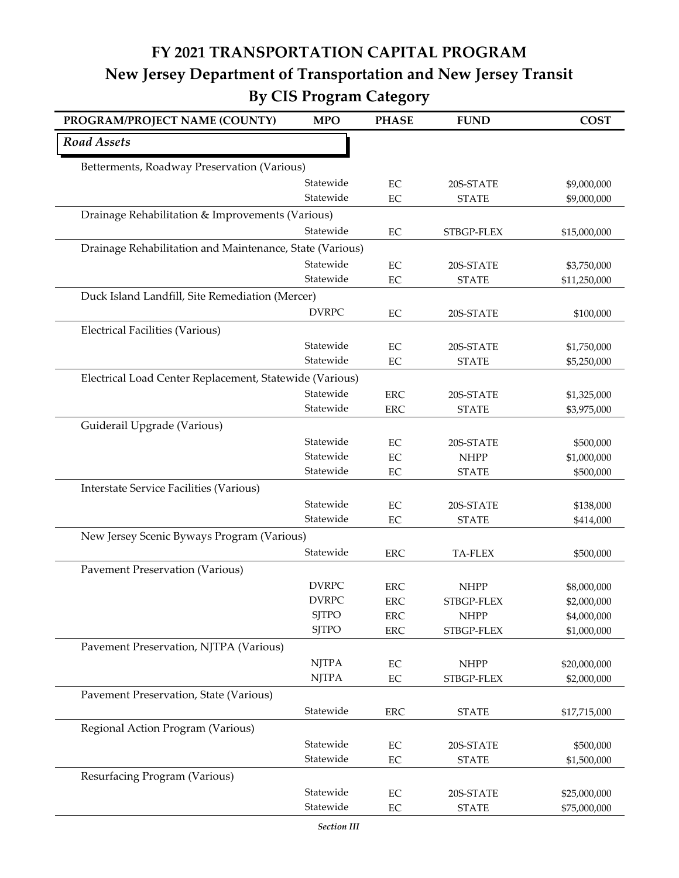## **FY 2021 TRANSPORTATION CAPITAL PROGRAM New Jersey Department of Transportation and New Jersey Transit By CIS Program Category**

| PROGRAM/PROJECT NAME (COUNTY)                            | <b>MPO</b>                   | <b>PHASE</b>         | <b>FUND</b>               | <b>COST</b>  |  |
|----------------------------------------------------------|------------------------------|----------------------|---------------------------|--------------|--|
| <b>Road Assets</b>                                       |                              |                      |                           |              |  |
| Betterments, Roadway Preservation (Various)              |                              |                      |                           |              |  |
|                                                          | Statewide                    | EC                   | 20S-STATE                 | \$9,000,000  |  |
|                                                          | Statewide                    | EC                   | <b>STATE</b>              | \$9,000,000  |  |
| Drainage Rehabilitation & Improvements (Various)         |                              |                      |                           |              |  |
|                                                          | Statewide                    | $\rm EC$             | STBGP-FLEX                | \$15,000,000 |  |
| Drainage Rehabilitation and Maintenance, State (Various) |                              |                      |                           |              |  |
|                                                          | Statewide                    | EC                   | 20S-STATE                 | \$3,750,000  |  |
|                                                          | Statewide                    | EC                   | <b>STATE</b>              | \$11,250,000 |  |
| Duck Island Landfill, Site Remediation (Mercer)          |                              |                      |                           |              |  |
|                                                          | <b>DVRPC</b>                 | $\rm EC$             | 20S-STATE                 | \$100,000    |  |
| <b>Electrical Facilities (Various)</b>                   |                              |                      |                           |              |  |
|                                                          | Statewide                    | EC                   | 20S-STATE                 | \$1,750,000  |  |
|                                                          | Statewide                    | $\rm EC$             | <b>STATE</b>              | \$5,250,000  |  |
| Electrical Load Center Replacement, Statewide (Various)  |                              |                      |                           |              |  |
|                                                          | Statewide                    | <b>ERC</b>           | 20S-STATE                 | \$1,325,000  |  |
|                                                          | Statewide                    | <b>ERC</b>           | <b>STATE</b>              | \$3,975,000  |  |
| Guiderail Upgrade (Various)                              |                              |                      |                           |              |  |
|                                                          | Statewide                    | EC                   | 20S-STATE                 | \$500,000    |  |
|                                                          | Statewide                    | EC                   | <b>NHPP</b>               | \$1,000,000  |  |
|                                                          | Statewide                    | EC                   | <b>STATE</b>              | \$500,000    |  |
| Interstate Service Facilities (Various)                  |                              |                      |                           |              |  |
|                                                          | Statewide                    | EC                   | 20S-STATE                 | \$138,000    |  |
|                                                          | Statewide                    | $\rm EC$             | <b>STATE</b>              | \$414,000    |  |
| New Jersey Scenic Byways Program (Various)               |                              |                      |                           |              |  |
|                                                          | Statewide                    | <b>ERC</b>           | <b>TA-FLEX</b>            | \$500,000    |  |
| <b>Pavement Preservation (Various)</b>                   |                              |                      |                           |              |  |
|                                                          | <b>DVRPC</b>                 | <b>ERC</b>           | <b>NHPP</b>               | \$8,000,000  |  |
|                                                          | <b>DVRPC</b>                 | <b>ERC</b>           | STBGP-FLEX                | \$2,000,000  |  |
|                                                          | <b>SJTPO</b><br><b>SJTPO</b> | <b>ERC</b>           | <b>NHPP</b>               | \$4,000,000  |  |
|                                                          |                              | <b>ERC</b>           | STBGP-FLEX                | \$1,000,000  |  |
| Pavement Preservation, NJTPA (Various)                   |                              |                      |                           |              |  |
|                                                          | <b>NJTPA</b><br><b>NJTPA</b> | $\rm EC$<br>$\rm EC$ | <b>NHPP</b><br>STBGP-FLEX | \$20,000,000 |  |
|                                                          |                              |                      |                           | \$2,000,000  |  |
| Pavement Preservation, State (Various)                   |                              |                      |                           |              |  |
|                                                          | Statewide                    | <b>ERC</b>           | <b>STATE</b>              | \$17,715,000 |  |
| Regional Action Program (Various)                        |                              |                      |                           |              |  |
|                                                          | Statewide                    | $\rm EC$             | 20S-STATE                 | \$500,000    |  |
|                                                          | Statewide                    | $\rm EC$             | <b>STATE</b>              | \$1,500,000  |  |
| Resurfacing Program (Various)                            |                              |                      |                           |              |  |
|                                                          | Statewide                    | EC                   | 20S-STATE                 | \$25,000,000 |  |
|                                                          | Statewide                    | $\rm EC$             | <b>STATE</b>              | \$75,000,000 |  |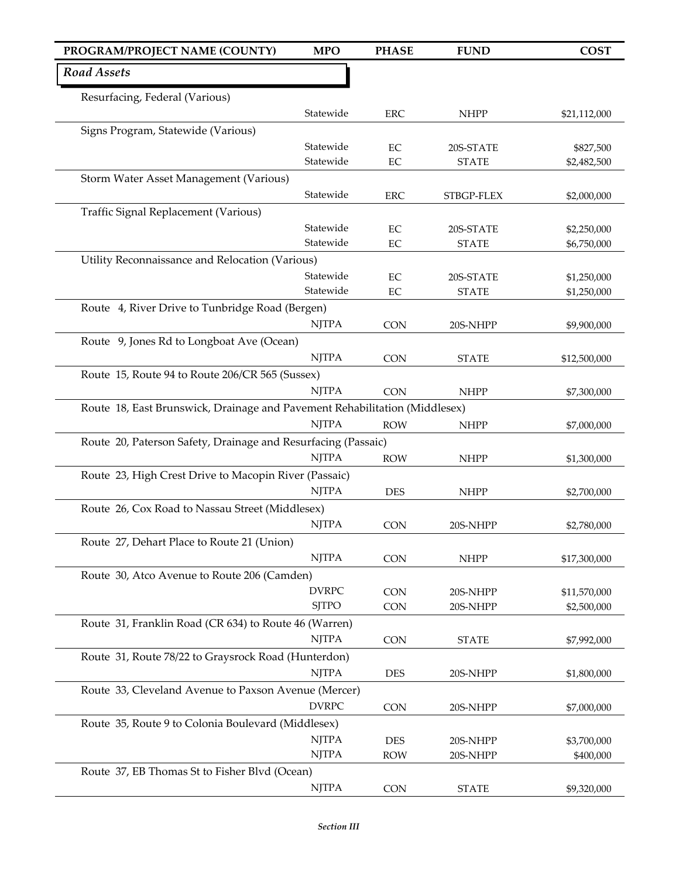| PROGRAM/PROJECT NAME (COUNTY)                                              | <b>MPO</b>                   | <b>PHASE</b> | <b>FUND</b>  | <b>COST</b>  |
|----------------------------------------------------------------------------|------------------------------|--------------|--------------|--------------|
| Road Assets                                                                |                              |              |              |              |
| Resurfacing, Federal (Various)                                             |                              |              |              |              |
|                                                                            | Statewide                    | <b>ERC</b>   | <b>NHPP</b>  | \$21,112,000 |
| Signs Program, Statewide (Various)                                         |                              |              |              |              |
|                                                                            | Statewide                    | EC           | 20S-STATE    | \$827,500    |
|                                                                            | Statewide                    | EC           | <b>STATE</b> | \$2,482,500  |
| Storm Water Asset Management (Various)                                     |                              |              |              |              |
|                                                                            | Statewide                    | <b>ERC</b>   | STBGP-FLEX   | \$2,000,000  |
| Traffic Signal Replacement (Various)                                       |                              |              |              |              |
|                                                                            | Statewide                    | EC           | 20S-STATE    | \$2,250,000  |
|                                                                            | Statewide                    | EC           | <b>STATE</b> | \$6,750,000  |
| Utility Reconnaissance and Relocation (Various)                            |                              |              |              |              |
|                                                                            | Statewide                    | EC           | 20S-STATE    | \$1,250,000  |
|                                                                            | Statewide                    | $\rm EC$     | <b>STATE</b> | \$1,250,000  |
| Route 4, River Drive to Tunbridge Road (Bergen)                            |                              |              |              |              |
|                                                                            | <b>NJTPA</b>                 | <b>CON</b>   | 20S-NHPP     | \$9,900,000  |
| Route 9, Jones Rd to Longboat Ave (Ocean)                                  |                              |              |              |              |
|                                                                            | <b>NJTPA</b>                 | <b>CON</b>   | <b>STATE</b> | \$12,500,000 |
| Route 15, Route 94 to Route 206/CR 565 (Sussex)                            |                              |              |              |              |
|                                                                            | <b>NJTPA</b>                 | <b>CON</b>   | <b>NHPP</b>  | \$7,300,000  |
| Route 18, East Brunswick, Drainage and Pavement Rehabilitation (Middlesex) |                              |              |              |              |
|                                                                            | <b>NJTPA</b>                 | <b>ROW</b>   | <b>NHPP</b>  | \$7,000,000  |
| Route 20, Paterson Safety, Drainage and Resurfacing (Passaic)              |                              |              |              |              |
|                                                                            | <b>NJTPA</b>                 | <b>ROW</b>   | <b>NHPP</b>  | \$1,300,000  |
| Route 23, High Crest Drive to Macopin River (Passaic)                      |                              |              |              |              |
|                                                                            | <b>NJTPA</b>                 | <b>DES</b>   | <b>NHPP</b>  | \$2,700,000  |
| Route 26, Cox Road to Nassau Street (Middlesex)                            |                              |              |              |              |
|                                                                            | <b>NJTPA</b>                 | CON          | 20S-NHPP     | \$2,780,000  |
| Route 27, Dehart Place to Route 21 (Union)                                 |                              |              |              |              |
|                                                                            | <b>NJTPA</b>                 |              |              |              |
|                                                                            |                              | <b>CON</b>   | <b>NHPP</b>  | \$17,300,000 |
| Route 30, Atco Avenue to Route 206 (Camden)                                |                              |              |              |              |
|                                                                            | <b>DVRPC</b><br><b>SJTPO</b> | <b>CON</b>   | 20S-NHPP     | \$11,570,000 |
|                                                                            |                              | <b>CON</b>   | 20S-NHPP     | \$2,500,000  |
| Route 31, Franklin Road (CR 634) to Route 46 (Warren)                      |                              |              |              |              |
|                                                                            | <b>NJTPA</b>                 | <b>CON</b>   | <b>STATE</b> | \$7,992,000  |
| Route 31, Route 78/22 to Graysrock Road (Hunterdon)                        |                              |              |              |              |
|                                                                            | <b>NJTPA</b>                 | <b>DES</b>   | 20S-NHPP     | \$1,800,000  |
| Route 33, Cleveland Avenue to Paxson Avenue (Mercer)                       |                              |              |              |              |
|                                                                            | <b>DVRPC</b>                 | <b>CON</b>   | 20S-NHPP     | \$7,000,000  |
| Route 35, Route 9 to Colonia Boulevard (Middlesex)                         |                              |              |              |              |
|                                                                            | <b>NJTPA</b>                 | <b>DES</b>   | 20S-NHPP     | \$3,700,000  |
|                                                                            | <b>NJTPA</b>                 | <b>ROW</b>   | 20S-NHPP     | \$400,000    |
| Route 37, EB Thomas St to Fisher Blvd (Ocean)                              |                              |              |              |              |
|                                                                            | <b>NJTPA</b>                 | CON          | <b>STATE</b> | \$9,320,000  |